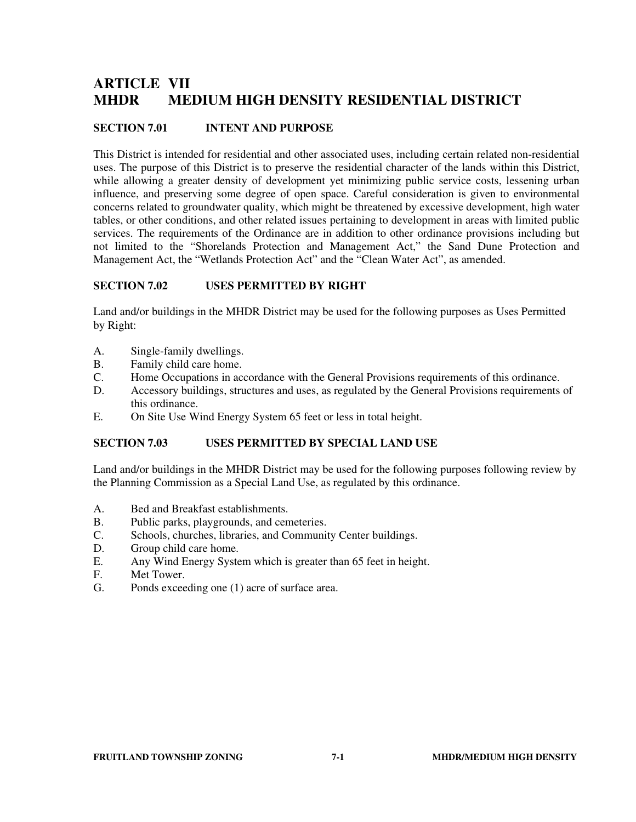# **ARTICLE VII MHDR MEDIUM HIGH DENSITY RESIDENTIAL DISTRICT**

### **SECTION 7.01 INTENT AND PURPOSE**

This District is intended for residential and other associated uses, including certain related non-residential uses. The purpose of this District is to preserve the residential character of the lands within this District, while allowing a greater density of development yet minimizing public service costs, lessening urban influence, and preserving some degree of open space. Careful consideration is given to environmental concerns related to groundwater quality, which might be threatened by excessive development, high water tables, or other conditions, and other related issues pertaining to development in areas with limited public services. The requirements of the Ordinance are in addition to other ordinance provisions including but not limited to the "Shorelands Protection and Management Act," the Sand Dune Protection and Management Act, the "Wetlands Protection Act" and the "Clean Water Act", as amended.

#### **SECTION 7.02 USES PERMITTED BY RIGHT**

Land and/or buildings in the MHDR District may be used for the following purposes as Uses Permitted by Right:

- A. Single-family dwellings.
- B. Family child care home.<br>C. Home Occupations in accurations
- Home Occupations in accordance with the General Provisions requirements of this ordinance.
- D. Accessory buildings, structures and uses, as regulated by the General Provisions requirements of this ordinance.
- E. On Site Use Wind Energy System 65 feet or less in total height.

#### **SECTION 7.03 USES PERMITTED BY SPECIAL LAND USE**

Land and/or buildings in the MHDR District may be used for the following purposes following review by the Planning Commission as a Special Land Use, as regulated by this ordinance.

- A. Bed and Breakfast establishments.
- B. Public parks, playgrounds, and cemeteries.
- C. Schools, churches, libraries, and Community Center buildings.
- D. Group child care home.
- E. Any Wind Energy System which is greater than 65 feet in height.
- F. Met Tower.
- G. Ponds exceeding one (1) acre of surface area.